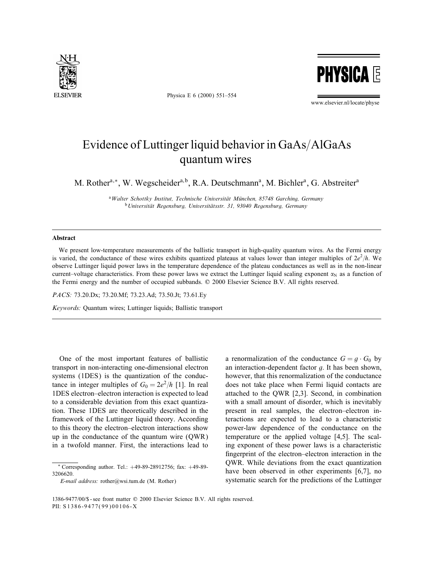

Physica E 6 (2000) 551–554

**PHYSICA E** 

www.elsevier.nl/locate/physe

## Evidence of Luttinger liquid behavior in GaAs/AlGaAs quantum wires

M. Rother<sup>a,\*</sup>, W. Wegscheider<sup>a,b</sup>, R.A. Deutschmann<sup>a</sup>, M. Bichler<sup>a</sup>, G. Abstreiter<sup>a</sup>

<sup>a</sup> Walter Schottky Institut, Technische Universität München, 85748 Garching, Germany  $b$ Universität Regensburg, Universitätsstr. 31, 93040 Regensburg, Germany

## Abstract

We present low-temperature measurements of the ballistic transport in high-quality quantum wires. As the Fermi energy is varied, the conductance of these wires exhibits quantized plateaus at values lower than integer multiples of  $2e^2/h$ . We observe Luttinger liquid power laws in the temperature dependence of the plateau conductances as well as in the non-linear current–voltage characteristics. From these power laws we extract the Luttinger liquid scaling exponent  $\alpha_N$  as a function of the Fermi energy and the number of occupied subbands.  $© 2000$  Elsevier Science B.V. All rights reserved.

PACS: 73.20.Dx; 73.20.Mf; 73.23.Ad; 73.50.Jt; 73.61.Ey

Keywords: Quantum wires; Luttinger liquids; Ballistic transport

One of the most important features of ballistic transport in non-interacting one-dimensional electron systems (1DES) is the quantization of the conductance in integer multiples of  $G_0 = 2e^2/h$  [1]. In real 1DES electron–electron interaction is expected to lead to a considerable deviation from this exact quantization. These 1DES are theoretically described in the framework of the Luttinger liquid theory. According to this theory the electron–electron interactions show up in the conductance of the quantum wire (QWR) in a twofold manner. First, the interactions lead to a renormalization of the conductance  $G = g \cdot G_0$  by an interaction-dependent factor  $q$ . It has been shown, however, that this renormalization of the conductance does not take place when Fermi liquid contacts are attached to the QWR [2,3]. Second, in combination with a small amount of disorder, which is inevitably present in real samples, the electron–electron interactions are expected to lead to a characteristic power-law dependence of the conductance on the temperature or the applied voltage [4,5]. The scaling exponent of these power laws is a characteristic ngerprint of the electron–electron interaction in the QWR. While deviations from the exact quantization have been observed in other experiments [6,7], no systematic search for the predictions of the Luttinger

<sup>∗</sup> Corresponding author. Tel.: +49-89-28912756; fax: +49-89- 3206620.

E-mail address: rother@wsi.tum.de (M. Rother)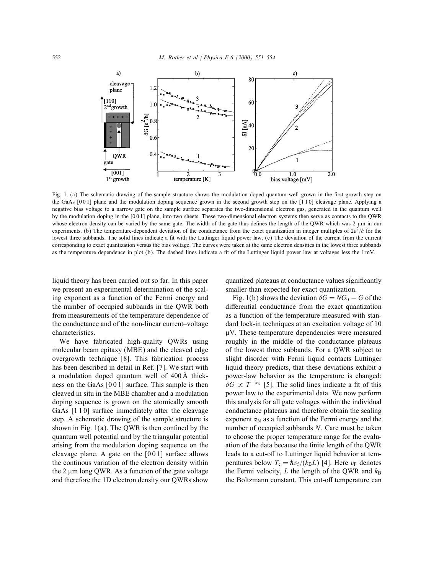

Fig. 1. (a) The schematic drawing of the sample structure shows the modulation doped quantum well grown in the first growth step on the GaAs [0 0 1] plane and the modulation doping sequence grown in the second growth step on the [1 1 0] cleavage plane. Applying a negative bias voltage to a narrow gate on the sample surface separates the two-dimensional electron gas, generated in the quantum well by the modulation doping in the [0 0 1] plane, into two sheets. These two-dimensional electron systems then serve as contacts to the QWR whose electron density can be varied by the same gate. The width of the gate thus defines the length of the QWR which was 2  $\mu$ m in our experiments. (b) The temperature-dependent deviation of the conductance from the exact quantization in integer multiples of  $2e^2/h$  for the lowest three subbands. The solid lines indicate a fit with the Luttinger liquid power law. (c) The deviation of the current from the current corresponding to exact quantization versus the bias voltage. The curves were taken at the same electron densities in the lowest three subbands as the temperature dependence in plot (b). The dashed lines indicate a fit of the Luttinger liquid power law at voltages less the 1 mV.

liquid theory has been carried out so far. In this paper we present an experimental determination of the scaling exponent as a function of the Fermi energy and the number of occupied subbands in the QWR both from measurements of the temperature dependence of the conductance and of the non-linear current–voltage characteristics.

We have fabricated high-quality OWRs using molecular beam epitaxy (MBE) and the cleaved edge overgrowth technique [8]. This fabrication process has been described in detail in Ref. [7]. We start with a modulation doped quantum well of 400 A thick ness on the GaAs [0 0 1] surface. This sample is then cleaved in situ in the MBE chamber and a modulation doping sequence is grown on the atomically smooth GaAs [1 1 0] surface immediately after the cleavage step. A schematic drawing of the sample structure is shown in Fig.  $1(a)$ . The QWR is then confined by the quantum well potential and by the triangular potential arising from the modulation doping sequence on the cleavage plane. A gate on the [0 0 1] surface allows the continous variation of the electron density within the 2  $\mu$ m long QWR. As a function of the gate voltage and therefore the 1D electron density our QWRs show

quantized plateaus at conductance values signicantly smaller than expected for exact quantization.

Fig. 1(b) shows the deviation  $\delta G = NG_0 - G$  of the differential conductance from the exact quantization as a function of the temperature measured with standard lock-in techniques at an excitation voltage of 10 V. These temperature dependencies were measured roughly in the middle of the conductance plateaus of the lowest three subbands. For a QWR subject to slight disorder with Fermi liquid contacts Luttinger liquid theory predicts, that these deviations exhibit a power-law behavior as the temperature is changed:  $\delta G \propto T^{-\alpha_N}$  [5]. The solid lines indicate a fit of this power law to the experimental data. We now perform this analysis for all gate voltages within the individual conductance plateaus and therefore obtain the scaling exponent  $\alpha_N$  as a function of the Fermi energy and the number of occupied subbands N. Care must be taken to choose the proper temperature range for the evaluation of the data because the finite length of the QWR leads to a cut-off to Luttinger liquid behavior at temperatures below  $T_c = \hbar v_f / (k_B L)$  [4]. Here  $v_F$  denotes the Fermi velocity, L the length of the QWR and  $k_B$ the Boltzmann constant. This cut-off temperature can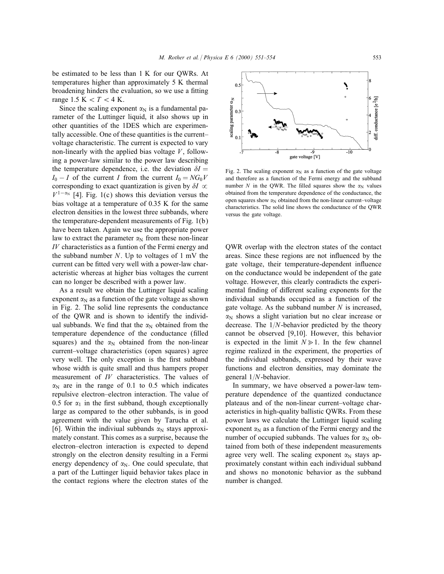be estimated to be less than 1 K for our QWRs. At temperatures higher than approximately 5 K thermal broadening hinders the evaluation, so we use a fitting range 1.5 K  $< T < 4$  K.

Since the scaling exponent  $\alpha_N$  is a fundamental parameter of the Luttinger liquid, it also shows up in other quantities of the 1DES which are experimentally accessible. One of these quantities is the current– voltage characteristic. The current is expected to vary non-linearly with the applied bias voltage  $V$ , following a power-law similar to the power law describing the temperature dependence, i.e. the deviation  $\delta I =$  $I_0 - I$  of the current I from the current  $I_0 = NG_0V$ corresponding to exact quantization is given by  $\delta I \propto$  $V^{1-\alpha_N}$  [4]. Fig. 1(c) shows this deviation versus the bias voltage at a temperature of 0:35 K for the same electron densities in the lowest three subbands, where the temperature-dependent measurements of Fig. 1(b) have been taken. Again we use the appropriate power law to extract the parameter  $\alpha_N$  from these non-linear IV characteristics as a funtion of the Fermi energy and the subband number  $N$ . Up to voltages of 1 mV the current can be fitted very well with a power-law characteristic whereas at higher bias voltages the current can no longer be described with a power law.

As a result we obtain the Luttinger liquid scaling exponent  $\alpha_N$  as a function of the gate voltage as shown in Fig. 2. The solid line represents the conductance of the QWR and is shown to identify the individual subbands. We find that the  $\alpha_N$  obtained from the temperature dependence of the conductance (filled squares) and the  $\alpha_N$  obtained from the non-linear current–voltage characteristics (open squares) agree very well. The only exception is the first subband whose width is quite small and thus hampers proper measurement of IV characteristics. The values of  $\alpha_N$  are in the range of 0.1 to 0.5 which indicates repulsive electron–electron interaction. The value of 0.5 for  $\alpha_1$  in the first subband, though exceptionally large as compared to the other subbands, is in good agreement with the value given by Tarucha et al. [6]. Within the indiviual subbands  $\alpha_N$  stays approximately constant. This comes as a surprise, because the electron–electron interaction is expected to depend strongly on the electron density resulting in a Fermi energy dependency of  $\alpha_N$ . One could speculate, that a part of the Luttinger liquid behavior takes place in the contact regions where the electron states of the

Fig. 2. The scaling exponent  $\alpha_N$  as a function of the gate voltage and therefore as a function of the Fermi energy and the subband number N in the OWR. The filled squares show the  $\alpha_N$  values obtained from the temperature dependence of the conductance, the open squares show  $\alpha_N$  obtained from the non-linear current–voltage characteristics. The solid line shows the conductance of the QWR versus the gate voltage.

QWR overlap with the electron states of the contact areas. Since these regions are not influenced by the gate voltage, their temperature-dependent in
uence on the conductance would be independent of the gate voltage. However, this clearly contradicts the experimental finding of different scaling exponents for the individual subbands occupied as a function of the gate voltage. As the subband number  $N$  is increased,  $\alpha_N$  shows a slight variation but no clear increase or decrease. The  $1/N$ -behavior predicted by the theory cannot be observed [9,10]. However, this behavior is expected in the limit  $N \ge 1$ . In the few channel regime realized in the experiment, the properties of the individual subbands, expressed by their wave functions and electron densities, may dominate the general  $1/N$ -behavior.

In summary, we have observed a power-law temperature dependence of the quantized conductance plateaus and of the non-linear current–voltage characteristics in high-quality ballistic QWRs. From these power laws we calculate the Luttinger liquid scaling exponent  $\alpha_N$  as a function of the Fermi energy and the number of occupied subbands. The values for  $\alpha_N$  obtained from both of these independent measurements agree very well. The scaling exponent  $\alpha_N$  stays approximately constant within each individual subband and shows no monotonic behavior as the subband number is changed.